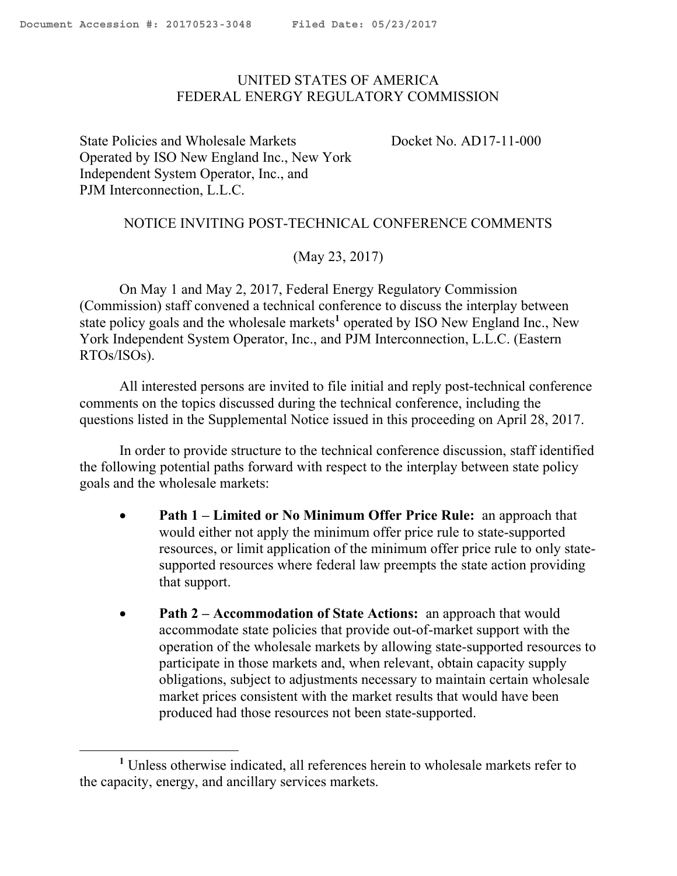$\overline{\phantom{a}}$ 

## <span id="page-0-0"></span>UNITED STATES OF AMERICA FEDERAL ENERGY REGULATORY COMMISSION

State Policies and Wholesale Markets Operated by ISO New England Inc., New York Independent System Operator, Inc., and PJM Interconnection, L.L.C.

Docket No. AD17-11-000

## NOTICE INVITING POST-TECHNICAL CONFERENCE COMMENTS

## (May 23, 2017)

On May 1 and May 2, 2017, Federal Energy Regulatory Commission (Commission) staff convened a technical conference to discuss the interplay between state policy goals and the wholesale markets**<sup>1</sup>** operated by ISO New England Inc., New York Independent System Operator, Inc., and PJM Interconnection, L.L.C. (Eastern RTOs/ISOs).

All interested persons are invited to file initial and reply post-technical conference comments on the topics discussed during the technical conference, including the questions listed in the Supplemental Notice issued in this proceeding on April 28, 2017.

In order to provide structure to the technical conference discussion, staff identified the following potential paths forward with respect to the interplay between state policy goals and the wholesale markets:

- **Path 1 – Limited or No Minimum Offer Price Rule:** an approach that would either not apply the minimum offer price rule to state-supported resources, or limit application of the minimum offer price rule to only statesupported resources where federal law preempts the state action providing that support.
- **Path 2 Accommodation of State Actions:** an approach that would accommodate state policies that provide out-of-market support with the operation of the wholesale markets by allowing state-supported resources to participate in those markets and, when relevant, obtain capacity supply obligations, subject to adjustments necessary to maintain certain wholesale market prices consistent with the market results that would have been produced had those resources not been state-supported.

**<sup>1</sup>** Unless otherwise indicated, all references herein to wholesale markets refer to the capacity, energy, and ancillary services markets.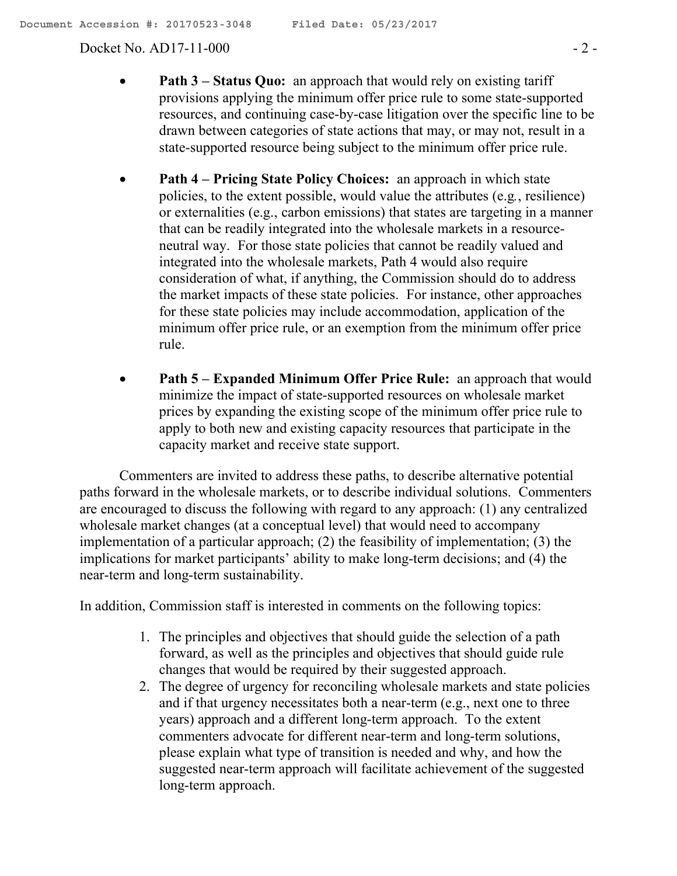Docket No. AD17-11-000 - 2 -

- **Path 3 Status Quo:** an approach that would rely on existing tariff provisions applying the minimum offer price rule to some state-supported resources, and continuing case-by-case litigation over the specific line to be drawn between categories of state actions that may, or may not, result in a state-supported resource being subject to the minimum offer price rule.
- **Path 4 – Pricing State Policy Choices:** an approach in which state policies, to the extent possible, would value the attributes (e.g*.*, resilience) or externalities (e.g., carbon emissions) that states are targeting in a manner that can be readily integrated into the wholesale markets in a resourceneutral way. For those state policies that cannot be readily valued and integrated into the wholesale markets, Path 4 would also require consideration of what, if anything, the Commission should do to address the market impacts of these state policies. For instance, other approaches for these state policies may include accommodation, application of the minimum offer price rule, or an exemption from the minimum offer price rule.
- **Path 5 – Expanded Minimum Offer Price Rule:** an approach that would minimize the impact of state-supported resources on wholesale market prices by expanding the existing scope of the minimum offer price rule to apply to both new and existing capacity resources that participate in the capacity market and receive state support.

Commenters are invited to address these paths, to describe alternative potential paths forward in the wholesale markets, or to describe individual solutions. Commenters are encouraged to discuss the following with regard to any approach: (1) any centralized wholesale market changes (at a conceptual level) that would need to accompany implementation of a particular approach; (2) the feasibility of implementation; (3) the implications for market participants' ability to make long-term decisions; and (4) the near-term and long-term sustainability.

In addition, Commission staff is interested in comments on the following topics:

- 1. The principles and objectives that should guide the selection of a path forward, as well as the principles and objectives that should guide rule changes that would be required by their suggested approach.
- 2. The degree of urgency for reconciling wholesale markets and state policies and if that urgency necessitates both a near-term (e.g., next one to three years) approach and a different long-term approach. To the extent commenters advocate for different near-term and long-term solutions, please explain what type of transition is needed and why, and how the suggested near-term approach will facilitate achievement of the suggested long-term approach.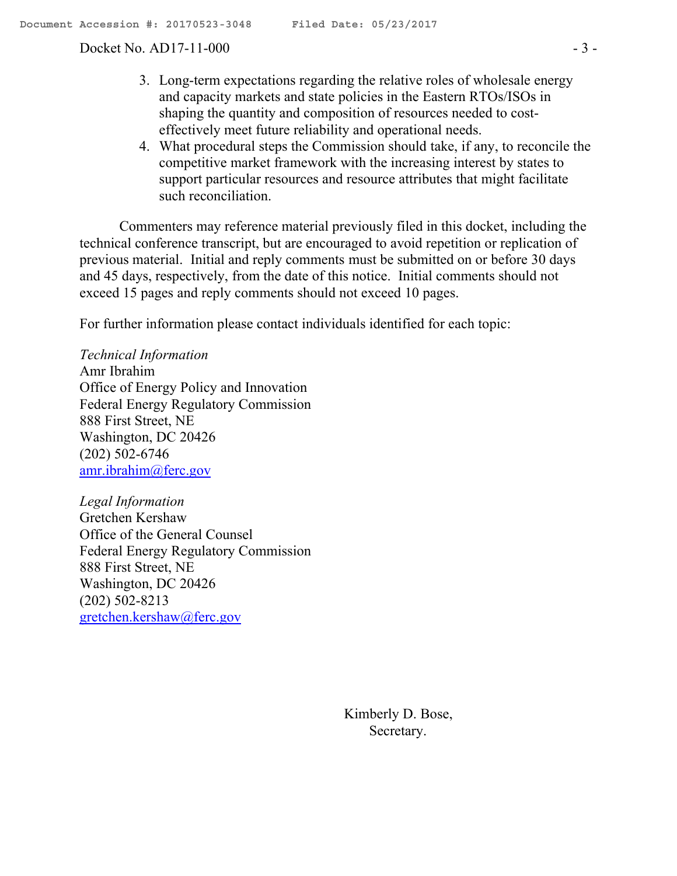Docket No. AD17-11-000 - 3 -

- 3. Long-term expectations regarding the relative roles of wholesale energy and capacity markets and state policies in the Eastern RTOs/ISOs in shaping the quantity and composition of resources needed to costeffectively meet future reliability and operational needs.
- 4. What procedural steps the Commission should take, if any, to reconcile the competitive market framework with the increasing interest by states to support particular resources and resource attributes that might facilitate such reconciliation.

Commenters may reference material previously filed in this docket, including the technical conference transcript, but are encouraged to avoid repetition or replication of previous material. Initial and reply comments must be submitted on or before 30 days and 45 days, respectively, from the date of this notice. Initial comments should not exceed 15 pages and reply comments should not exceed 10 pages.

For further information please contact individuals identified for each topic:

*Technical Information* Amr Ibrahim Office of Energy Policy and Innovation Federal Energy Regulatory Commission 888 First Street, NE Washington, DC 20426 (202) 502-6746 amr.ibrahim@ferc.gov

*Legal Information* Gretchen Kershaw Office of the General Counsel Federal Energy Regulatory Commission 888 First Street, NE Washington, DC 20426 (202) 502-8213 gretchen.kershaw@ferc.gov

> Kimberly D. Bose, Secretary.